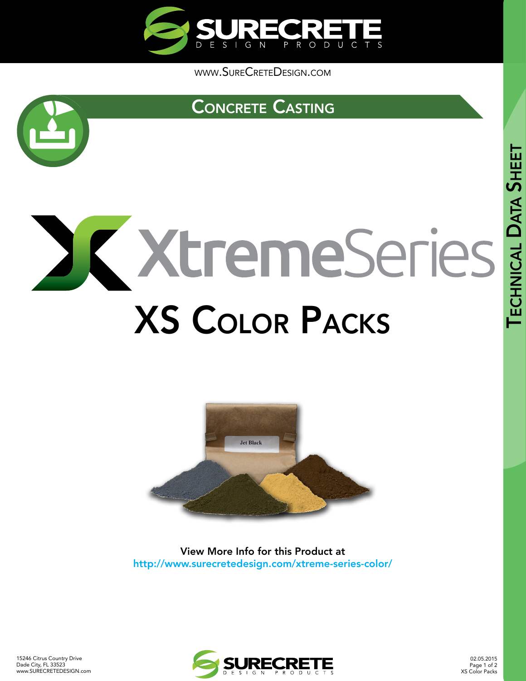

[www.SureCreteDesign.com](http://www.surecretedesign.com)



# [Concrete Casting](http://www.surecretedesign.com/castable-concrete/)

# XtremeSeries [XS Color Packs](http://www.surecretedesign.com/xtreme-series-color/)



View More Info for this Product at http://www.surecretedesign.com/xtreme-series-color/



02.05.2015 Page 1 of 2 XS Color Packs